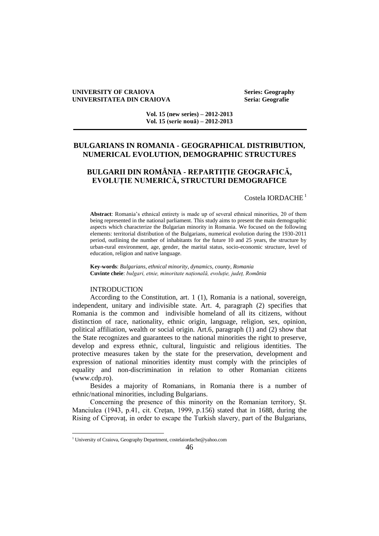#### **UNIVERSITY OF CRAIOVA Series: Geography UNIVERSITATEA DIN CRAIOVA Seria: Geografie**

**Vol. 15 (new series) – 2012-2013 Vol. 15 (serie nouă) – 2012-2013**

## **BULGARIANS IN ROMANIA - GEOGRAPHICAL DISTRIBUTION, NUMERICAL EVOLUTION, DEMOGRAPHIC STRUCTURES**

# **BULGARII DIN ROMÂNIA - REPARTIȚIE GEOGRAFICĂ, EVOLUȚIE NUMERICĂ, STRUCTURI DEMOGRAFICE**

Costela IORDACHE<sup>1</sup>

**Abstract**: Romania's ethnical entirety is made up of several ethnical minorities, 20 of them being represented in the national parliament. This study aims to present the main demographic aspects which characterize the Bulgarian minority in Romania. We focused on the following elements: territorial distribution of the Bulgarians, numerical evolution during the 1930-2011 period, outlining the number of inhabitants for the future 10 and 25 years, the structure by urban-rural environment, age, gender, the marital status, socio-economic structure, level of education, religion and native language.

**Key-words**: *Bulgarians, ethnical minority, dynamics, county, Romania* **Cuvinte cheie**: *bulgari, etnie, minoritate națională, evoluție, județ, România*

#### INTRODUCTION

 $\overline{a}$ 

According to the Constitution, art. 1 (1), Romania is a national, sovereign, independent, unitary and indivisible state. Art. 4, paragraph (2) specifies that Romania is the common and indivisible homeland of all its citizens, without distinction of race, nationality, ethnic origin, language, religion, sex, opinion, political affiliation, wealth or social origin. Art.6, paragraph (1) and (2) show that the State recognizes and guarantees to the national minorities the right to preserve, develop and express ethnic, cultural, linguistic and religious identities. The protective measures taken by the state for the preservation, development and expression of national minorities identity must comply with the principles of equality and non-discrimination in relation to other Romanian citizens (www.cdp.ro).

Besides a majority of Romanians, in Romania there is a number of ethnic/national minorities, including Bulgarians.

Concerning the presence of this minority on the Romanian territory, Șt. Manciulea (1943, p.41, cit. Crețan, 1999, p.156) stated that in 1688, during the Rising of Ciprovaț, in order to escape the Turkish slavery, part of the Bulgarians,

<sup>1</sup> University of Craiova, Geography Department, costelaiordache@yahoo.com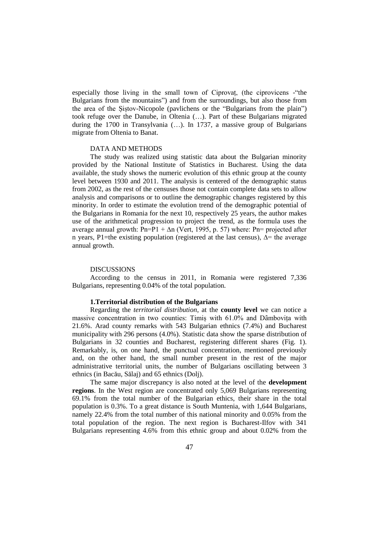especially those living in the small town of Ciprovaț, (the ciprovicens -"the Bulgarians from the mountains") and from the surroundings, but also those from the area of the Șiștov-Nicopole (pavlichens or the "Bulgarians from the plain") took refuge over the Danube, in Oltenia (…). Part of these Bulgarians migrated during the 1700 in Transylvania (…). In 1737, a massive group of Bulgarians migrate from Oltenia to Banat.

#### DATA AND METHODS

The study was realized using statistic data about the Bulgarian minority provided by the National Institute of Statistics in Bucharest. Using the data available, the study shows the numeric evolution of this ethnic group at the county level between 1930 and 2011. The analysis is centered of the demographic status from 2002, as the rest of the censuses those not contain complete data sets to allow analysis and comparisons or to outline the demographic changes registered by this minority. In order to estimate the evolution trend of the demographic potential of the Bulgarians in Romania for the next 10, respectively 25 years, the author makes use of the arithmetical progression to project the trend, as the formula uses the average annual growth: Pn=P1 +  $\Delta n$  (Vert, 1995, p. 57) where: Pn= projected after n years, P1=the existing population (registered at the last census), ∆= the average annual growth.

#### DISCUSSIONS

According to the census in 2011, in Romania were registered 7,336 Bulgarians, representing 0.04% of the total population.

#### **1.Territorial distribution of the Bulgarians**

Regarding the *territorial distribution*, at the **county level** we can notice a massive concentration in two counties: Timiș with 61.0% and Dâmbovița with 21.6%. Arad county remarks with 543 Bulgarian ethnics (7.4%) and Bucharest municipality with 296 persons (4.0%). Statistic data show the sparse distribution of Bulgarians in 32 counties and Bucharest, registering different shares (Fig. 1). Remarkably, is, on one hand, the punctual concentration, mentioned previously and, on the other hand, the small number present in the rest of the major administrative territorial units, the number of Bulgarians oscillating between 3 ethnics (in Bacău, Sălaj) and 65 ethnics (Dolj).

The same major discrepancy is also noted at the level of the **development regions**. In the West region are concentrated only 5,069 Bulgarians representing 69.1% from the total number of the Bulgarian ethics, their share in the total population is 0.3%. To a great distance is South Muntenia, with 1,644 Bulgarians, namely 22.4% from the total number of this national minority and 0.05% from the total population of the region. The next region is Bucharest-Ilfov with 341 Bulgarians representing 4.6% from this ethnic group and about 0.02% from the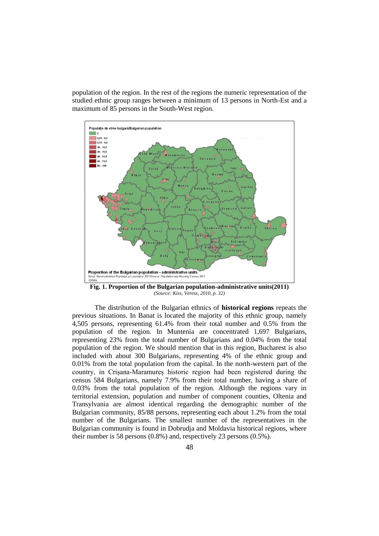population of the region. In the rest of the regions the numeric representation of the studied ethnic group ranges between a minimum of 13 persons in North-Est and a maximum of 85 persons in the South-West region.



**Fig. 1. Proportion of the Bulgarian population-administrative units(2011)** *(Source: Kiss, Veress, 2010, p. 32)*

The distribution of the Bulgarian ethnics of **historical regions** repeats the previous situations. In Banat is located the majority of this ethnic group, namely 4,505 persons, representing 61.4% from their total number and 0.5% from the population of the region. In Muntenia are concentrated 1,697 Bulgarians, representing 23% from the total number of Bulgarians and 0.04% from the total population of the region. We should mention that in this region, Bucharest is also included with about 300 Bulgarians, representing 4% of the ethnic group and 0.01% from the total population from the capital. In the north-western part of the country, in Crișana-Maramureș historic region had been registered during the census 584 Bulgarians, namely 7.9% from their total number, having a share of 0.03% from the total population of the region. Although the regions vary in territorial extension, population and number of component counties, Oltenia and Transylvania are almost identical regarding the demographic number of the Bulgarian community, 85/88 persons, representing each about 1.2% from the total number of the Bulgarians. The smallest number of the representatives in the Bulgarian community is found in Dobrudja and Moldavia historical regions, where their number is 58 persons (0.8%) and, respectively 23 persons (0.5%).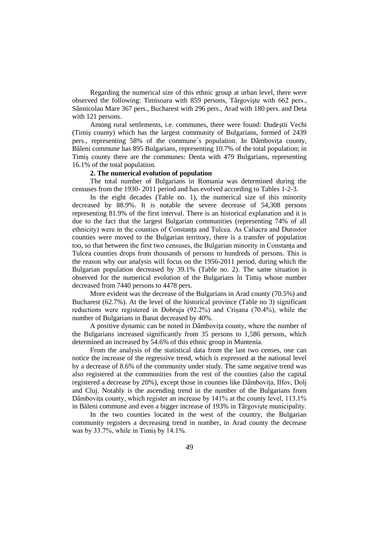Regarding the numerical size of this ethnic group at urban level, there were observed the following: Timisoara with 859 persons, Târgoviște with 662 pers., Sânnicolau Mare 367 pers., Bucharest with 296 pers., Arad with 180 pers. and Deta with 121 persons.

Among rural settlements, i.e. communes, there were found: Dudeştii Vechi (Timiş county) which has the largest community of Bulgarians, formed of 2439 pers., representing 58% of the commune's population. In Dâmbovita county, Băleni commune has 895 Bulgarians, representing 10.7% of the total population; in Timiş county there are the communes: Denta with 479 Bulgarians, representing 16.1% of the total population.

## **2. The numerical evolution of population**

The total number of Bulgarians in Romania was determined during the censuses from the 1930- 2011 period and has evolved according to Tables 1-2-3.

In the eight decades (Table no. 1), the numerical size of this minority decreased by 88.9%. It is notable the severe decrease of 54,308 persons representing 81.9% of the first interval. There is an historical explanation and it is due to the fact that the largest Bulgarian communities (representing 74% of all ethnicity) were in the counties of Constanța and Tulcea. As Caliacra and Durostor counties were moved to the Bulgarian territory, there is a transfer of population too, so that between the first two censuses, the Bulgarian minority in Constanța and Tulcea counties drops from thousands of persons to hundreds of persons. This is the reason why our analysis will focus on the 1956-2011 period, during which the Bulgarian population decreased by 39.1% (Table no. 2). The same situation is observed for the numerical evolution of the Bulgarians în Timiş whose number decreased from 7440 persons to 4478 pers.

More evident was the decrease of the Bulgarians in Arad county (70.5%) and Bucharest (62.7%). At the level of the historical province (Table no 3) significant reductions were registered in Dobruja (92.2%) and Crișana (70.4%), while the number of Bulgarians in Banat decreased by 40%.

A positive dynamic can be noted in Dâmbovița county, where the number of the Bulgarians increased significantly from 35 persons to 1,586 persons, which determined an increased by 54.6% of this ethnic group in Muntenia.

From the analysis of the statistical data from the last two censes, one can notice the increase of the regressive trend, which is expressed at the national level by a decrease of 8.6% of the community under study. The same negative trend was also registered at the communities from the rest of the counties (also the capital registered a decrease by 20%), except those in counties like Dâmbovița, Ilfov, Dolj and Cluj. Notably is the ascending trend in the number of the Bulgarians from Dâmbovița county, which register an increase by 141% at the county level, 113.1% in Băleni commune and even a bigger increase of 193% in Târgoviște municipality.

In the two counties located in the west of the country, the Bulgarian community registers a decreasing trend in number, in Arad county the decrease was by 33.7%, while in Timiș by 14.1%.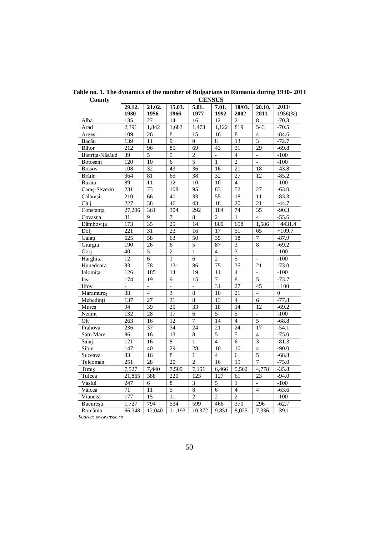| County          | <b>CENSUS</b>    |                 |                 |                          |                 |                 |                  |                |  |
|-----------------|------------------|-----------------|-----------------|--------------------------|-----------------|-----------------|------------------|----------------|--|
|                 | 29.12.<br>21.02. |                 | 15.03.<br>5.01. |                          | 7.01.<br>18/03. |                 | 20.10.           | 2011/          |  |
|                 | 1930             | 1956            | 1966            | 1977                     | 1992            | 2002            | 2011             | $1956\%$       |  |
| Alba            | 135              | 27              | 14              | 16                       | 12              | 21              | 8                | $-70.3$        |  |
| Arad            | 2,391            | 1,842           | 1,683           | 1,473                    | 1,122           | 819             | $\overline{543}$ | $-70.5$        |  |
| Arges           | 109              | 26              | $\overline{8}$  | 15                       | 16              | $\overline{8}$  | $\overline{4}$   | $-84.6$        |  |
| Bacău           | 139              | 11              | 9               | $\overline{9}$           | $\overline{8}$  | 13              | $\overline{3}$   | $-72.7$        |  |
| Bihor           | 212              | 96              | 85              | 69                       | 43              | 31              | 29               | $-69.8$        |  |
| Bistrița-Năsăud | 39               | 5               | 5               | $\overline{2}$           | $\overline{a}$  | $\overline{4}$  | $\overline{a}$   | $-100$         |  |
| Botoșani        | 120              | 10              | 6               | $\overline{5}$           | $\mathbf{1}$    | $\overline{2}$  | $\overline{a}$   | $-100$         |  |
| Brașov          | 108              | $\overline{32}$ | 43              | 36                       | 16              | $\overline{21}$ | 18               | $-43.8$        |  |
| Brăila          | 364              | 81              | $\overline{65}$ | $\overline{38}$          | $\overline{32}$ | $\overline{27}$ | 12               | $-85.2$        |  |
| Buzău           | 89               | 11              | $\overline{12}$ | 10                       | 10              | $\overline{4}$  | $\overline{a}$   | $-100$         |  |
| Caraș-Severin   | 231              | 73              | 108             | $\overline{95}$          | 83              | 52              | $\overline{27}$  | $-63.0$        |  |
| Călărași        | $\overline{210}$ | 66              | 40              | $\overline{33}$          | 55              | 18              | 11               | $-83.3$        |  |
| Clui            | 227              | 38              | 46              | 43                       | $\overline{18}$ | 20              | $\overline{21}$  | $-44.7$        |  |
| Constanța       | 27,206           | 361             | 304             | 292                      | 184             | 74              | $\overline{35}$  | $-90.3$        |  |
| Covasna         | $\overline{31}$  | 9               | 7               | $\overline{8}$           | $\overline{2}$  | $\mathbf{1}$    | $\overline{4}$   | $-55.6$        |  |
| Dâmbovita       | 173              | 35              | $\overline{25}$ | 14                       | 809             | 658             | 1,586            | $+4431.4$      |  |
| Doli            | $\overline{221}$ | $\overline{31}$ | $\overline{23}$ | 16                       | 17              | 51              | 65               | $+109.7$       |  |
| Galați          | 625              | 58              | 63              | $\overline{50}$          | 35              | 18              | 7                | $-87.9$        |  |
| Giurgiu         | 190              | 26              | 6               | 5                        | 87              | 3               | $\,8\,$          | $-69.2$        |  |
| Gorj            | 40               | 5               | $\overline{2}$  | 1                        | $\overline{4}$  | 3               | $\overline{a}$   | $-100$         |  |
| Harghita        | 12               | 6               | $\mathbf{1}$    | 6                        | $\overline{2}$  | $\overline{5}$  | $\overline{a}$   | $-100$         |  |
| Hunedoara       | 83               | 78              | 131             | 86                       | 75              | 35              | 21               | $-73.0$        |  |
| Ialomița        | 126              | 185             | 14              | 19                       | 11              | $\overline{4}$  |                  | $-100$         |  |
| Iași            | 174              | 19              | 9               | 15                       | $\overline{7}$  | $\overline{8}$  | 5                | $-73.7$        |  |
| <b>Ilfov</b>    | $\overline{a}$   | $\overline{a}$  | $\overline{a}$  |                          | $\overline{31}$ | 27              | 45               | $+100$         |  |
| Maramureş       | $\overline{38}$  | $\overline{4}$  | $\overline{3}$  | $\overline{8}$           | 10              | 21              | $\overline{4}$   | $\overline{0}$ |  |
| Mehedinți       | 137              | 27              | 31              | $\overline{8}$           | 13              | $\overline{4}$  | $\overline{6}$   | $-77.8$        |  |
| Mureș           | 94               | 39              | $\overline{25}$ | 33                       | 18              | 14              | 12               | $-69.2$        |  |
| Neamt           | 132              | 28              | 17              | 6                        | $\overline{5}$  | $\overline{5}$  | $\overline{a}$   | $-100$         |  |
| Olt             | 263              | 16              | 12              | 7                        | 14              | $\overline{4}$  | $\overline{5}$   | $-68.8$        |  |
| Prahova         | 236              | 37              | 34              | $\overline{24}$          | 21              | $\overline{24}$ | 17               | $-54.1$        |  |
| Satu Mare       | 86               | 16              | 13              | $\overline{8}$           | 5               | 5               | $\overline{4}$   | $-75.0$        |  |
| Sălaj           | 121              | $\overline{16}$ | $\overline{8}$  | $\mathbf{1}$             | $\overline{4}$  | 6               | $\overline{3}$   | $-81.3$        |  |
| Sibiu           | $\overline{147}$ | 40              | $\overline{29}$ | $\overline{28}$          | 10              | $\overline{10}$ | $\overline{4}$   | $-90.0$        |  |
| Suceava         | 83               | 16              | $\overline{8}$  | $\mathbf{1}$             | $\overline{4}$  | 6               | $\overline{5}$   | $-68.8$        |  |
| Teleoman        | 251              | 28              | 20              | $\overline{2}$           | 16              | $\overline{19}$ | $\overline{7}$   | $-75.0$        |  |
| Timiş           | 7,527            | 7.440           | 7,509           | 7,151                    | 6,466           | 5,562           | 4,778            | $-35.8$        |  |
| Tulcea          | 21,865           | 388             | 220             | 123                      | 127             | 61              | 23               | $-94.0$        |  |
| Vaslui          | 247              | 6               | $\,8\,$         | $\overline{\mathbf{3}}$  | 5               | $\mathbf{1}$    |                  | $-100$         |  |
| Vâlcea          | $\overline{71}$  | $\overline{11}$ | $\overline{5}$  | $\overline{8}$           | 6               | $\overline{4}$  | $\overline{4}$   | $-63.6$        |  |
| Vrancea         | 177              | $\overline{15}$ | 11              | $\overline{\mathcal{L}}$ | $\overline{2}$  | $\overline{2}$  | $\overline{a}$   | $-100$         |  |
| București       | 1,727            | 794             | 534             | 599                      | 466             | 370             | 296              | $-62.7$        |  |
| România         | 66,348           | 12,040          | 11,193          | 10,372                   | 9,851           | 8,025           | 7,336            | $-39.1$        |  |

**Table no. 1. The dynamics of the number of Bulgarians in Romania during 1930- 2011**

 *Source[: www.insse.ro](http://www.insse.ro/)*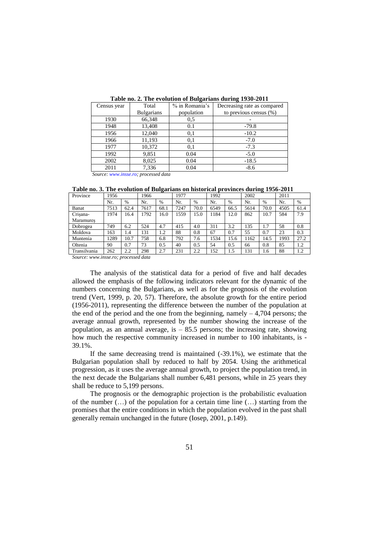| Census year | Total                     | % in Romania's | Decreasing rate as compared |
|-------------|---------------------------|----------------|-----------------------------|
|             | <b>Bulgarians</b>         | population     | to previous census $(\%)$   |
| 1930        | 66,348                    | 0.5            |                             |
| 1948        | 13,408                    | 0.1            | $-79.8$                     |
| 1956        | 12,040                    | 0,1            | $-10.2$                     |
| 1966        | 11,193                    | 0,1            | $-7.0$                      |
| 1977        | 10,372                    | 0.1            | $-7.3$                      |
| 1992        | 9,851                     | 0.04           | $-5.0$                      |
| 2002        | 8,025                     | 0.04           | $-18.5$                     |
| 2011        | 7,336                     | 0.04           | $-8.6$                      |
| $\sim$      | $\mathbf{r}$ $\mathbf{r}$ |                |                             |

**Table no. 2. The evolution of Bulgarians during 1930-2011**

*Source: [www.insse.ro;](http://www.insse.ro/) processed data*

**Table no. 3. The evolution of Bulgarians on historical provinces during 1956-2011**

| Province     | 1956 |      | 1966 |      | 1977 |      | 1992 |      | 2002 |      | 2011 |      |
|--------------|------|------|------|------|------|------|------|------|------|------|------|------|
|              | Nr.  | $\%$ | Nr.  | $\%$ | Nr.  | $\%$ | Nr.  | $\%$ | Nr.  | $\%$ | Nr.  | %    |
| Banat        | 7513 | 62.4 | 7617 | 68.1 | 7247 | 70.0 | 6549 | 66.5 | 5614 | 70.0 | 4505 | 61.4 |
| Crisana-     | 1974 | 16.4 | 1792 | 16.0 | 1559 | 15.0 | 1184 | 12.0 | 862  | 10.7 | 584  | 7.9  |
| Maramures    |      |      |      |      |      |      |      |      |      |      |      |      |
| Dobrogea     | 749  | 6.2  | 524  | 4.7  | 415  | 4.0  | 311  | 3.2  | 135  | 1.7  | 58   | 0.8  |
| Moldova      | 163  | 1.4  | 131  | 1.2  | 88   | 0.8  | 67   | 0.7  | 55   | 0.7  | 23   | 0.3  |
| Muntenia     | 289  | 10.7 | 758  | 6.8  | 792  | 7.6  | 1534 | 15.6 | 1162 | 14.5 | 1993 | 27.2 |
| Oltenia      | 90   | 0.7  | 73   | 0.5  | 40   | 0.5  | 54   | 0.5  | 66   | 0.8  | 85   | 1.2  |
| Transilvania | 262  | 2.2  | 298  | 2.7  | 231  | 2.2  | 152  | 1.5  | 131  | 1.6  | 88   | 1.2  |

*Source: [www.insse.ro;](http://www.insse.ro/) processed data*

The analysis of the statistical data for a period of five and half decades allowed the emphasis of the following indicators relevant for the dynamic of the numbers concerning the Bulgarians, as well as for the prognosis of the evolution trend (Vert, 1999, p. 20, 57). Therefore, the absolute growth for the entire period (1956-2011), representing the difference between the number of the population at the end of the period and the one from the beginning, namely  $-4,704$  persons; the average annual growth, represented by the number showing the increase of the population, as an annual average, is  $-85.5$  persons; the increasing rate, showing how much the respective community increased in number to 100 inhabitants, is - 39.1%.

If the same decreasing trend is maintained (-39.1%), we estimate that the Bulgarian population shall by reduced to half by 2054. Using the arithmetical progression, as it uses the average annual growth, to project the population trend, in the next decade the Bulgarians shall number 6,481 persons, while in 25 years they shall be reduce to 5,199 persons.

The prognosis or the demographic projection is the probabilistic evaluation of the number  $(...)$  of the population for a certain time line  $(...)$  starting from the promises that the entire conditions in which the population evolved in the past shall generally remain unchanged in the future (Iosep, 2001, p.149).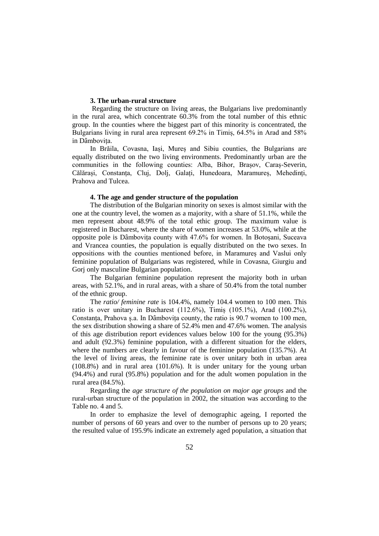## **3. The urban-rural structure**

Regarding the structure on living areas, the Bulgarians live predominantly in the rural area, which concentrate 60.3% from the total number of this ethnic group. In the counties where the biggest part of this minority is concentrated, the Bulgarians living in rural area represent 69.2% in Timiș, 64.5% in Arad and 58% in Dâmbovița.

In Brăila, Covasna, Iași, Mureș and Sibiu counties, the Bulgarians are equally distributed on the two living environments. Predominantly urban are the communities in the following counties: Alba, Bihor, Brașov, Caraș-Severin, Călărași, Constanța, Cluj, Dolj, Galați, Hunedoara, Maramureș, Mehedinți, Prahova and Tulcea.

#### **4. The age and gender structure of the population**

The distribution of the Bulgarian minority on sexes is almost similar with the one at the country level, the women as a majority, with a share of 51.1%, while the men represent about 48.9% of the total ethic group. The maximum value is registered in Bucharest, where the share of women increases at 53.0%, while at the opposite pole is Dâmbovița county with 47.6% for women. In Botoșani, Suceava and Vrancea counties, the population is equally distributed on the two sexes. In oppositions with the counties mentioned before, in Maramureș and Vaslui only feminine population of Bulgarians was registered, while in Covasna, Giurgiu and Gorj only masculine Bulgarian population.

The Bulgarian feminine population represent the majority both in urban areas, with 52.1%, and in rural areas, with a share of 50.4% from the total number of the ethnic group.

The *ratio/ feminine rate* is 104.4%, namely 104.4 women to 100 men. This ratio is over unitary in Bucharest (112.6%), Timiș (105.1%), Arad (100.2%), Constanța, Prahova ș.a. In Dâmbovița county, the ratio is 90.7 women to 100 men, the sex distribution showing a share of 52.4% men and 47.6% women. The analysis of this age distribution report evidences values below 100 for the young (95.3%) and adult (92.3%) feminine population, with a different situation for the elders, where the numbers are clearly in favour of the feminine population (135.7%). At the level of living areas, the feminine rate is over unitary both in urban area (108.8%) and in rural area (101.6%). It is under unitary for the young urban (94.4%) and rural (95.8%) population and for the adult women population in the rural area (84.5%).

Regarding the *age structure of the population on major age groups* and the rural-urban structure of the population in 2002, the situation was according to the Table no. 4 and 5.

In order to emphasize the level of demographic ageing, I reported the number of persons of 60 years and over to the number of persons up to 20 years; the resulted value of 195.9% indicate an extremely aged population, a situation that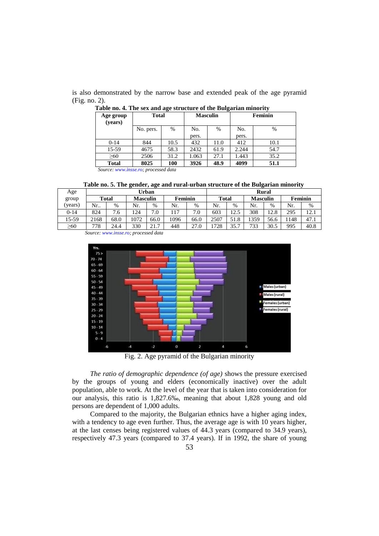is also demonstrated by the narrow base and extended peak of the age pyramid (Fig. no. 2).

| Age group<br>(years)                 | <b>Total</b> |      | <b>Masculin</b> | ີ    | Feminin      |      |  |  |  |
|--------------------------------------|--------------|------|-----------------|------|--------------|------|--|--|--|
|                                      | No. pers.    | $\%$ | No.<br>pers.    | %    | No.<br>pers. | %    |  |  |  |
| $0-14$                               | 844          | 10.5 | 432             | 11.0 | 412          | 10.1 |  |  |  |
| 15-59                                | 4675         | 58.3 | 2432            | 61.9 | 2.244        | 54.7 |  |  |  |
| $\geq 60$                            | 2506         | 31.2 | 1.063           | 27.1 | 1.443        | 35.2 |  |  |  |
| <b>Total</b>                         | 8025         | 100  | 3926            | 48.9 | 4099         | 51.1 |  |  |  |
| Source: www.insse.ro: processed data |              |      |                 |      |              |      |  |  |  |

**Table no. 4. The sex and age structure of the Bulgarian minority**

*Source: [www.insse.ro;](http://www.insse.ro/) processed data*

 **Table no. 5. The gender, age and rural-urban structure of the Bulgarian minority**

| Age       |              |      |      | Urban                      |      | Rural                |       |      |                 |      |         |      |
|-----------|--------------|------|------|----------------------------|------|----------------------|-------|------|-----------------|------|---------|------|
| group     | <b>Total</b> |      |      | Feminin<br><b>Masculin</b> |      |                      | Total |      | <b>Masculin</b> |      | Feminin |      |
| (years)   | Nr           | $\%$ | Nr.  | %                          | Nr.  | %                    | Nr.   | $\%$ | Nr.             | $\%$ | Nr.     | %    |
| $0-14$    | 824          | 7.6  | .24  | $\mathbf{r}$<br>$\Omega$ . | .17  | $\overline{ }$<br>.0 | 603   | 12.5 | 308             | 12.8 | 295     | 12.1 |
| 15-59     | 2168         | 68.0 | 1072 | 66.0                       | 1096 | 66.0                 | 2507  | 51.8 | 359             | 56.6 | 1148    | 47.1 |
| $\geq 60$ | 778          | 24.4 | 330  | 217                        | 448  | 27.0                 | 1728  | 35.7 | 733             | 30.5 | 995     | 40.8 |

*Source[: www.insse.ro;](http://www.insse.ro/) processed data*



Fig. 2. Age pyramid of the Bulgarian minority

*The ratio of demographic dependence (of age)* shows the pressure exercised by the groups of young and elders (economically inactive) over the adult population, able to work. At the level of the year that is taken into consideration for our analysis, this ratio is 1,827.6‰, meaning that about 1,828 young and old persons are dependent of 1,000 adults.

Compared to the majority, the Bulgarian ethnics have a higher aging index, with a tendency to age even further. Thus, the average age is with 10 years higher, at the last censes being registered values of 44.3 years (compared to 34.9 years), respectively 47.3 years (compared to 37.4 years). If in 1992, the share of young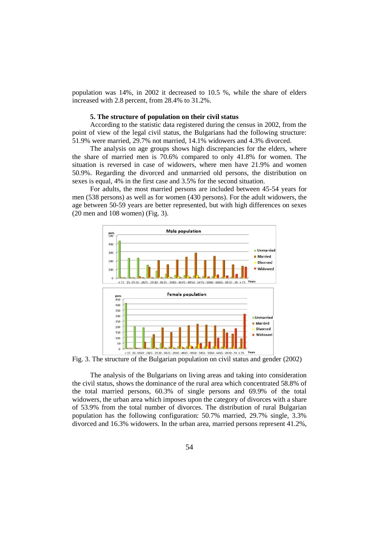population was 14%, in 2002 it decreased to 10.5 %, while the share of elders increased with 2.8 percent, from 28.4% to 31.2%.

### **5. The structure of population on their civil status**

According to the statistic data registered during the census in 2002, from the point of view of the legal civil status, the Bulgarians had the following structure: 51.9% were married, 29.7% not married, 14.1% widowers and 4.3% divorced.

The analysis on age groups shows high discrepancies for the elders, where the share of married men is 70.6% compared to only 41.8% for women. The situation is reversed in case of widowers, where men have 21.9% and women 50.9%. Regarding the divorced and unmarried old persons, the distribution on sexes is equal, 4% in the first case and 3.5% for the second situation.

For adults, the most married persons are included between 45-54 years for men (538 persons) as well as for women (430 persons). For the adult widowers, the age between 50-59 years are better represented, but with high differences on sexes (20 men and 108 women) (Fig. 3).



Fig. 3. The structure of the Bulgarian population on civil status and gender (2002)

The analysis of the Bulgarians on living areas and taking into consideration the civil status, shows the dominance of the rural area which concentrated 58.8% of the total married persons, 60.3% of single persons and 69.9% of the total widowers, the urban area which imposes upon the category of divorces with a share of 53.9% from the total number of divorces. The distribution of rural Bulgarian population has the following configuration: 50.7% married, 29.7% single, 3.3% divorced and 16.3% widowers. In the urban area, married persons represent 41.2%,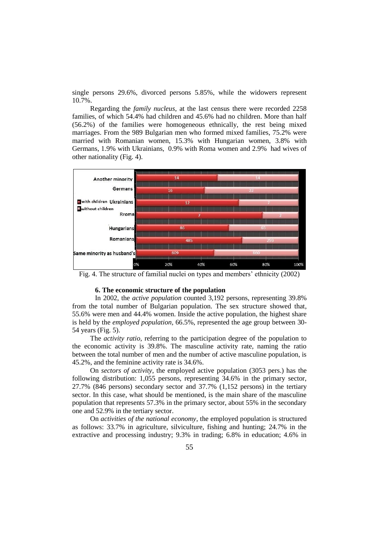single persons 29.6%, divorced persons 5.85%, while the widowers represent 10.7%.

Regarding the *family nucleus*, at the last census there were recorded 2258 families, of which 54.4% had children and 45.6% had no children. More than half (56.2%) of the families were homogeneous ethnically, the rest being mixed marriages. From the 989 Bulgarian men who formed mixed families, 75.2% were married with Romanian women, 15.3% with Hungarian women, 3.8% with Germans, 1.9% with Ukrainians, 0.9% with Roma women and 2.9% had wives of other nationality (Fig. 4).



Fig. 4. The structure of familial nuclei on types and members' ethnicity (2002)

## **6. The economic structure of the population**

In 2002, the *active population* counted 3,192 persons, representing 39.8% from the total number of Bulgarian population. The sex structure showed that, 55.6% were men and 44.4% women. Inside the active population, the highest share is held by the *employed population,* 66.5%, represented the age group between 30- 54 years (Fig. 5).

The *activity ratio*, referring to the participation degree of the population to the economic activity is 39.8%. The masculine activity rate, naming the ratio between the total number of men and the number of active masculine population, is 45.2%, and the feminine activity rate is 34.6%.

On *sectors of activity*, the employed active population (3053 pers.) has the following distribution: 1,055 persons, representing 34.6% in the primary sector, 27.7% (846 persons) secondary sector and 37.7% (1,152 persons) in the tertiary sector. In this case, what should be mentioned, is the main share of the masculine population that represents 57.3% in the primary sector, about 55% in the secondary one and 52.9% in the tertiary sector.

On *activities of the national economy*, the employed population is structured as follows: 33.7% in agriculture, silviculture, fishing and hunting; 24.7% in the extractive and processing industry; 9.3% in trading; 6.8% in education; 4.6% in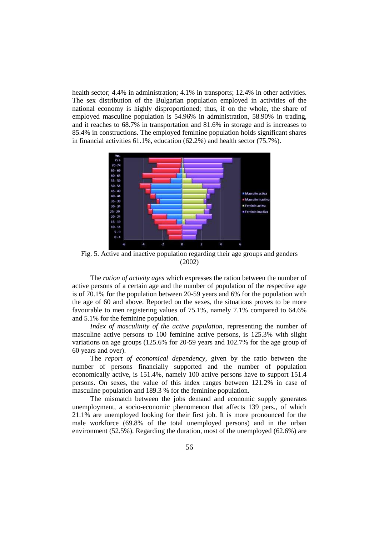health sector; 4.4% in administration; 4.1% in transports; 12.4% in other activities. The sex distribution of the Bulgarian population employed in activities of the national economy is highly disproportioned; thus, if on the whole, the share of employed masculine population is 54.96% in administration, 58.90% in trading, and it reaches to 68.7% in transportation and 81.6% in storage and is increases to 85.4% in constructions. The employed feminine population holds significant shares in financial activities 61.1%, education (62.2%) and health sector (75.7%).



Fig. 5. Active and inactive population regarding their age groups and genders (2002)

The *ration of activity ages* which expresses the ration between the number of active persons of a certain age and the number of population of the respective age is of 70.1% for the population between 20-59 years and 6% for the population with the age of 60 and above. Reported on the sexes, the situations proves to be more favourable to men registering values of 75.1%, namely 7.1% compared to 64.6% and 5.1% for the feminine population.

*Index of masculinity of the active population*, representing the number of masculine active persons to 100 feminine active persons, is 125.3% with slight variations on age groups (125.6% for 20-59 years and 102.7% for the age group of 60 years and over).

The *report of economical dependency*, given by the ratio between the number of persons financially supported and the number of population economically active, is 151.4%, namely 100 active persons have to support 151.4 persons. On sexes, the value of this index ranges between 121.2% in case of masculine population and 189.3 % for the feminine population.

The mismatch between the jobs demand and economic supply generates unemployment, a socio-economic phenomenon that affects 139 pers., of which 21.1% are unemployed looking for their first job. It is more pronounced for the male workforce (69.8% of the total unemployed persons) and in the urban environment (52.5%). Regarding the duration, most of the unemployed (62.6%) are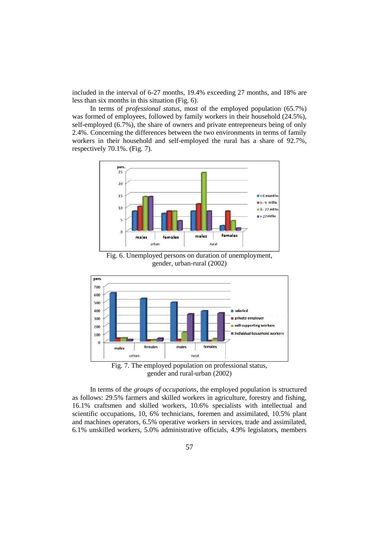included in the interval of 6-27 months, 19.4% exceeding 27 months, and 18% are less than six months in this situation (Fig. 6).

In terms of *professional status*, most of the employed population (65.7%) was formed of employees, followed by family workers in their household (24.5%), self-employed (6.7%), the share of owners and private entrepreneurs being of only 2.4%. Concerning the differences between the two environments in terms of family workers in their household and self-employed the rural has a share of 92.7%, respectively 70.1%. (Fig. 7).



Fig. 6. Unemployed persons on duration of unemployment, gender, urban-rural (2002)





In terms of the *groups of occupations*, the employed population is structured as follows: 29.5% farmers and skilled workers in agriculture, forestry and fishing, 16.1% craftsmen and skilled workers, 10.6% specialists with intellectual and scientific occupations, 10, 6% technicians, foremen and assimilated, 10.5% plant and machines operators, 6.5% operative workers in services, trade and assimilated, 6.1% unskilled workers, 5.0% administrative officials, 4.9% legislators, members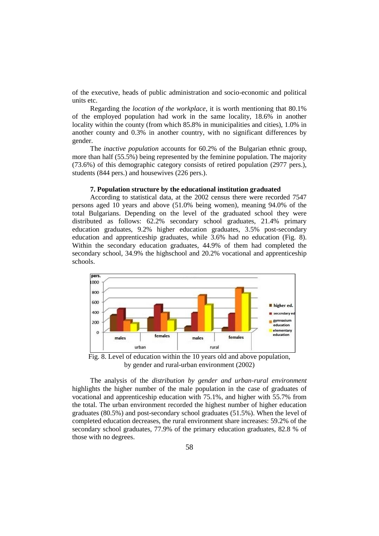of the executive, heads of public administration and socio-economic and political units etc.

Regarding the *location of the workplace*, it is worth mentioning that 80.1% of the employed population had work in the same locality, 18.6% in another locality within the county (from which 85.8% in municipalities and cities), 1.0% in another county and 0.3% in another country, with no significant differences by gender.

The *inactive population* accounts for 60.2% of the Bulgarian ethnic group, more than half (55.5%) being represented by the feminine population. The majority (73.6%) of this demographic category consists of retired population (2977 pers.), students (844 pers.) and housewives (226 pers.).

#### **7. Population structure by the educational institution graduated**

According to statistical data, at the 2002 census there were recorded 7547 persons aged 10 years and above (51.0% being women), meaning 94.0% of the total Bulgarians. Depending on the level of the graduated school they were distributed as follows: 62.2% secondary school graduates, 21.4% primary education graduates, 9.2% higher education graduates, 3.5% post-secondary education and apprenticeship graduates, while 3.6% had no education (Fig. 8). Within the secondary education graduates, 44.9% of them had completed the secondary school, 34.9% the highschool and 20.2% vocational and apprenticeship schools.



Fig. 8. Level of education within the 10 years old and above population, by gender and rural-urban environment (2002)

The analysis of the *distribution by gender and urban-rural environment* highlights the higher number of the male population in the case of graduates of vocational and apprenticeship education with 75.1%, and higher with 55.7% from the total. The urban environment recorded the highest number of higher education graduates (80.5%) and post-secondary school graduates (51.5%). When the level of completed education decreases, the rural environment share increases: 59.2% of the secondary school graduates, 77.9% of the primary education graduates, 82.8 % of those with no degrees.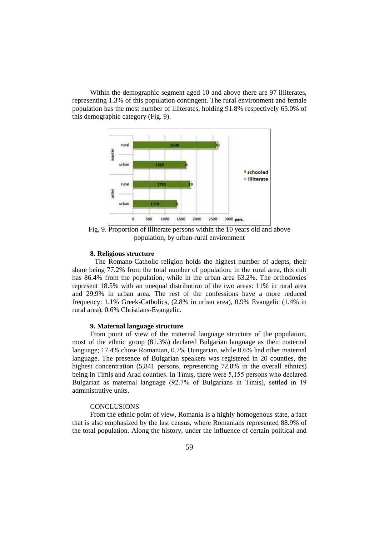Within the demographic segment aged 10 and above there are 97 illiterates, representing 1.3% of this population contingent. The rural environment and female population has the most number of illiterates, holding 91.8% respectively 65.0% of this demographic category (Fig. 9).



Fig. 9. Proportion of illiterate persons within the 10 years old and above population, by urban-rural environment

### **8. Religious structure**

The Romano-Catholic religion holds the highest number of adepts, their share being 77.2% from the total number of population; in the rural area, this cult has 86.4% from the population, while in the urban area 63.2%. The orthodoxies represent 18.5% with an unequal distribution of the two areas: 11% in rural area and 29.9% in urban area. The rest of the confessions have a more reduced frequency: 1.1% Greek-Catholics, (2.8% in urban area), 0.9% Evangelic (1.4% in rural area), 0.6% Christians-Evangelic.

### **9. Maternal language structure**

From point of view of the maternal language structure of the population, most of the ethnic group (81.3%) declared Bulgarian language as their maternal language; 17.4% chose Romanian, 0.7% Hungarian, while 0.6% had other maternal language. The presence of Bulgarian speakers was registered in 20 counties, the highest concentration (5,841 persons, representing 72.8% in the overall ethnics) being in Timiș and Arad counties. In Timiș, there were 5,155 persons who declared Bulgarian as maternal language (92.7% of Bulgarians in Timiș), settled in 19 administrative units.

### **CONCLUSIONS**

From the ethnic point of view, Romania is a highly homogenous state, a fact that is also emphasized by the last census, where Romanians represented 88.9% of the total population. Along the history, under the influence of certain political and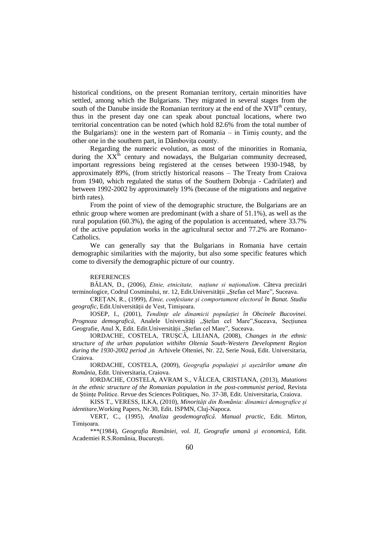historical conditions, on the present Romanian territory, certain minorities have settled, among which the Bulgarians. They migrated in several stages from the south of the Danube inside the Romanian territory at the end of the XVII<sup>th</sup> century, thus in the present day one can speak about punctual locations, where two territorial concentration can be noted (which hold 82.6% from the total number of the Bulgarians): one in the western part of Romania – in Timiș county, and the other one in the southern part, in Dâmbovița county.

Regarding the numeric evolution, as most of the minorities in Romania, during the  $XX<sup>th</sup>$  century and nowadays, the Bulgarian community decreased, important regressions being registered at the censes between 1930-1948, by approximately 89%, (from strictly historical reasons – The Treaty from Craiova from 1940, which regulated the status of the Southern Dobruja - Cadrilater) and between 1992-2002 by approximately 19% (because of the migrations and negative birth rates).

From the point of view of the demographic structure, the Bulgarians are an ethnic group where women are predominant (with a share of 51.1%), as well as the rural population (60.3%), the aging of the population is accentuated, where 33.7% of the active population works in the agricultural sector and 77.2% are Romano-Catholics.

We can generally say that the Bulgarians in Romania have certain demographic similarities with the majority, but also some specific features which come to diversify the demographic picture of our country.

#### **REFERENCES**

BĂLAN, D., (2006), *Etnie, etnicitate, națiune si naționalism*. Câteva precizări terminologice, Codrul Cosminului, nr. 12, Edit.Universității "Ștefan cel Mare", Suceava.

CREȚAN, R., (1999), *Etnie, confesiune și comportament electoral în Banat. Studiu geografic*, Edit.Universității de Vest, Timișoara.

IOSEP, I., (2001), *Tendințe ale dinamicii populației în Obcinele Bucovinei. Prognoza demografică*, Analele Universități "Ștefan cel Mare",Suceava, Secțiunea Geografie, Anul X, Edit. Edit. Universității "Ștefan cel Mare", Suceava.

IORDACHE, COSTELA, TRUȘCĂ, LILIANA, (2008), *Changes in the ethnic structure of the urban population withihn Oltenia South-Western Development Region during the 1930-2002 period* ,in Arhivele Olteniei, Nr. 22, Serie Nouă, Edit. Universitaria, Craiova.

IORDACHE, COSTELA, (2009), *Geografia populației și așezărilor umane din România*, Edit. Universitaria, Craiova.

IORDACHE, COSTELA, AVRAM S., VÂLCEA, CRISTIANA, (2013), *Mutations in the ethnic structure of the Romanian population in the post-communist period*, Revista de Științe Politice. Revue des Sciences Politiques, No. 37-38, Edit. Universitaria, Craiova.

KISS T., VERESS, ILKA, (2010), *Minorități din România: dinamici demografice și identitare*,Working Papers, Nr.30, Edit. ISPMN, Cluj-Napoca.

VERT, C., (1995), *Analiza geodemografică. Manual practic*, Edit. Mirton, Timișoara.

\*\*\*(1984), *Geografia României, vol. II, Geografie umană şi economică*, Edit. Academiei R.S.România, București.